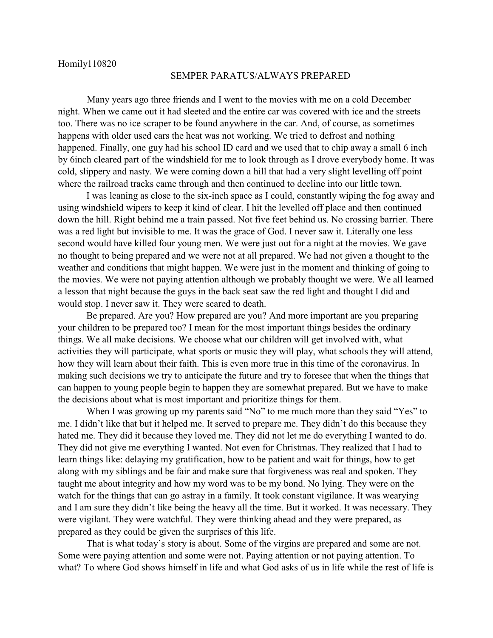## SEMPER PARATUS/ALWAYS PREPARED

Many years ago three friends and I went to the movies with me on a cold December night. When we came out it had sleeted and the entire car was covered with ice and the streets too. There was no ice scraper to be found anywhere in the car. And, of course, as sometimes happens with older used cars the heat was not working. We tried to defrost and nothing happened. Finally, one guy had his school ID card and we used that to chip away a small 6 inch by 6inch cleared part of the windshield for me to look through as I drove everybody home. It was cold, slippery and nasty. We were coming down a hill that had a very slight levelling off point where the railroad tracks came through and then continued to decline into our little town.

I was leaning as close to the six-inch space as I could, constantly wiping the fog away and using windshield wipers to keep it kind of clear. I hit the levelled off place and then continued down the hill. Right behind me a train passed. Not five feet behind us. No crossing barrier. There was a red light but invisible to me. It was the grace of God. I never saw it. Literally one less second would have killed four young men. We were just out for a night at the movies. We gave no thought to being prepared and we were not at all prepared. We had not given a thought to the weather and conditions that might happen. We were just in the moment and thinking of going to the movies. We were not paying attention although we probably thought we were. We all learned a lesson that night because the guys in the back seat saw the red light and thought I did and would stop. I never saw it. They were scared to death.

Be prepared. Are you? How prepared are you? And more important are you preparing your children to be prepared too? I mean for the most important things besides the ordinary things. We all make decisions. We choose what our children will get involved with, what activities they will participate, what sports or music they will play, what schools they will attend, how they will learn about their faith. This is even more true in this time of the coronavirus. In making such decisions we try to anticipate the future and try to foresee that when the things that can happen to young people begin to happen they are somewhat prepared. But we have to make the decisions about what is most important and prioritize things for them.

When I was growing up my parents said "No" to me much more than they said "Yes" to me. I didn't like that but it helped me. It served to prepare me. They didn't do this because they hated me. They did it because they loved me. They did not let me do everything I wanted to do. They did not give me everything I wanted. Not even for Christmas. They realized that I had to learn things like: delaying my gratification, how to be patient and wait for things, how to get along with my siblings and be fair and make sure that forgiveness was real and spoken. They taught me about integrity and how my word was to be my bond. No lying. They were on the watch for the things that can go astray in a family. It took constant vigilance. It was wearying and I am sure they didn't like being the heavy all the time. But it worked. It was necessary. They were vigilant. They were watchful. They were thinking ahead and they were prepared, as prepared as they could be given the surprises of this life.

That is what today's story is about. Some of the virgins are prepared and some are not. Some were paying attention and some were not. Paying attention or not paying attention. To what? To where God shows himself in life and what God asks of us in life while the rest of life is